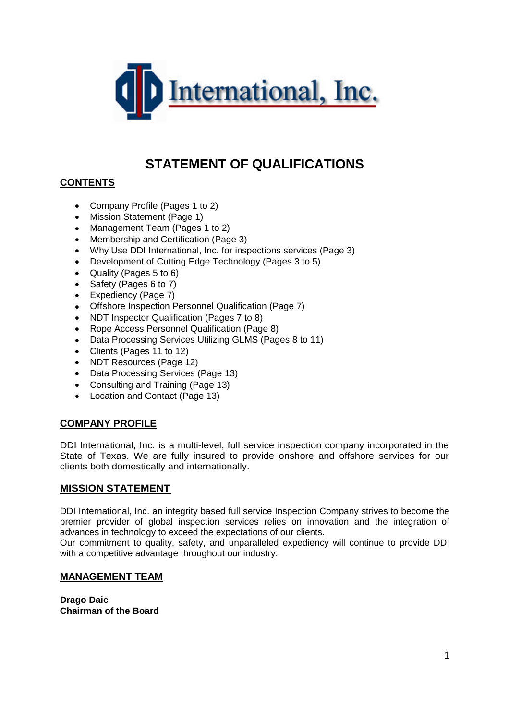

# **STATEMENT OF QUALIFICATIONS**

# **CONTENTS**

- Company Profile (Pages 1 to 2)
- Mission Statement (Page 1)
- Management Team (Pages 1 to 2)
- Membership and Certification (Page 3)
- Why Use DDI International, Inc. for inspections services (Page 3)
- Development of Cutting Edge Technology (Pages 3 to 5)
- Quality (Pages 5 to 6)
- Safety (Pages 6 to 7)
- Expediency (Page 7)
- Offshore Inspection Personnel Qualification (Page 7)
- NDT Inspector Qualification (Pages 7 to 8)
- Rope Access Personnel Qualification (Page 8)
- Data Processing Services Utilizing GLMS (Pages 8 to 11)
- Clients (Pages 11 to 12)
- NDT Resources (Page 12)
- Data Processing Services (Page 13)
- Consulting and Training (Page 13)
- Location and Contact (Page 13)

# **COMPANY PROFILE**

DDI International, Inc. is a multi-level, full service inspection company incorporated in the State of Texas. We are fully insured to provide onshore and offshore services for our clients both domestically and internationally.

#### **MISSION STATEMENT**

DDI International, Inc. an integrity based full service Inspection Company strives to become the premier provider of global inspection services relies on innovation and the integration of advances in technology to exceed the expectations of our clients.

Our commitment to quality, safety, and unparalleled expediency will continue to provide DDI with a competitive advantage throughout our industry.

#### **MANAGEMENT TEAM**

**Drago Daic Chairman of the Board**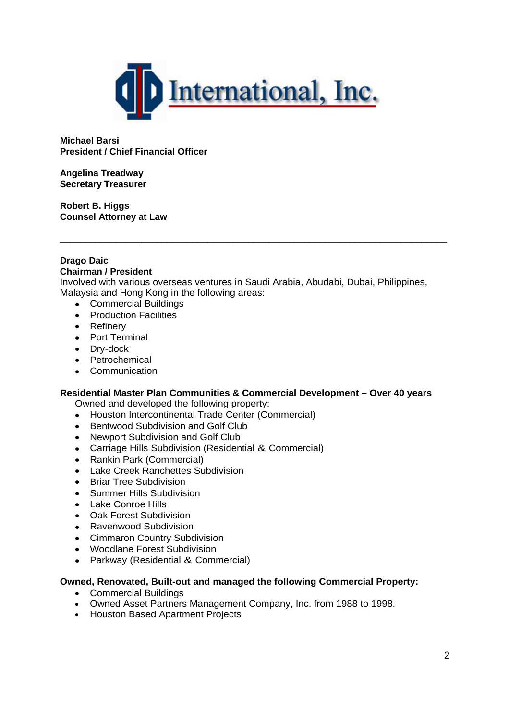

**Michael Barsi President / Chief Financial Officer**

**Angelina Treadway Secretary Treasurer**

**Robert B. Higgs Counsel Attorney at Law**

#### **Drago Daic Chairman / President**

Involved with various overseas ventures in Saudi Arabia, Abudabi, Dubai, Philippines, Malaysia and Hong Kong in the following areas:

\_\_\_\_\_\_\_\_\_\_\_\_\_\_\_\_\_\_\_\_\_\_\_\_\_\_\_\_\_\_\_\_\_\_\_\_\_\_\_\_\_\_\_\_\_\_\_\_\_\_\_\_\_\_\_\_\_\_\_\_\_\_\_\_\_\_\_\_\_\_\_\_\_\_\_\_

- Commercial Buildings
- Production Facilities
- Refinery
- Port Terminal
- Dry-dock
- Petrochemical
- Communication

#### **Residential Master Plan Communities & Commercial Development – Over 40 years**

Owned and developed the following property:

- Houston Intercontinental Trade Center (Commercial)
- Bentwood Subdivision and Golf Club
- Newport Subdivision and Golf Club
- Carriage Hills Subdivision (Residential & Commercial)
- Rankin Park (Commercial)
- Lake Creek Ranchettes Subdivision
- Briar Tree Subdivision
- **•** Summer Hills Subdivision
- Lake Conroe Hills
- Oak Forest Subdivision
- Ravenwood Subdivision
- Cimmaron Country Subdivision
- Woodlane Forest Subdivision
- Parkway (Residential & Commercial)

#### **Owned, Renovated, Built-out and managed the following Commercial Property:**

- Commercial Buildings
- Owned Asset Partners Management Company, Inc. from 1988 to 1998.
- Houston Based Apartment Projects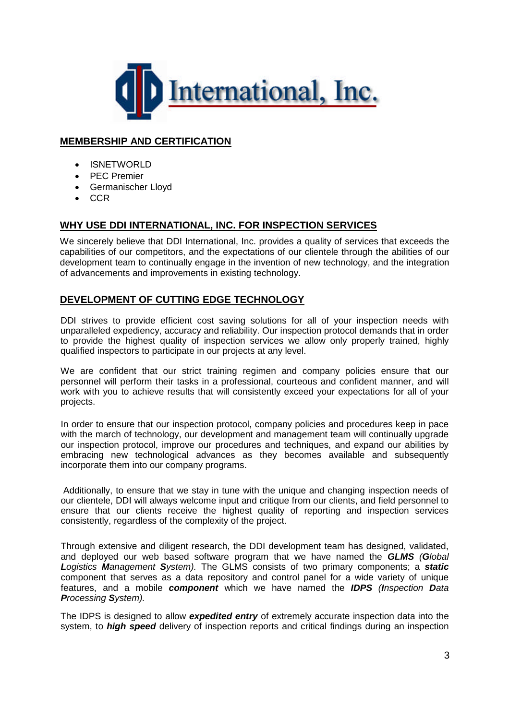

# **MEMBERSHIP AND CERTIFICATION**

- ISNETWORLD
- PEC Premier
- Germanischer Lloyd
- $\bullet$  CCR

# **WHY USE DDI INTERNATIONAL, INC. FOR INSPECTION SERVICES**

We sincerely believe that DDI International, Inc. provides a quality of services that exceeds the capabilities of our competitors, and the expectations of our clientele through the abilities of our development team to continually engage in the invention of new technology, and the integration of advancements and improvements in existing technology.

# **DEVELOPMENT OF CUTTING EDGE TECHNOLOGY**

DDI strives to provide efficient cost saving solutions for all of your inspection needs with unparalleled expediency, accuracy and reliability. Our inspection protocol demands that in order to provide the highest quality of inspection services we allow only properly trained, highly qualified inspectors to participate in our projects at any level.

We are confident that our strict training regimen and company policies ensure that our personnel will perform their tasks in a professional, courteous and confident manner, and will work with you to achieve results that will consistently exceed your expectations for all of your projects.

In order to ensure that our inspection protocol, company policies and procedures keep in pace with the march of technology, our development and management team will continually upgrade our inspection protocol, improve our procedures and techniques, and expand our abilities by embracing new technological advances as they becomes available and subsequently incorporate them into our company programs.

Additionally, to ensure that we stay in tune with the unique and changing inspection needs of our clientele, DDI will always welcome input and critique from our clients, and field personnel to ensure that our clients receive the highest quality of reporting and inspection services consistently, regardless of the complexity of the project.

Through extensive and diligent research, the DDI development team has designed, validated, and deployed our web based software program that we have named the *GLMS (Global Logistics Management System).* The GLMS consists of two primary components; a *static* component that serves as a data repository and control panel for a wide variety of unique features, and a mobile *component* which we have named the *IDPS (Inspection Data Processing System).*

The IDPS is designed to allow *expedited entry* of extremely accurate inspection data into the system, to *high speed* delivery of inspection reports and critical findings during an inspection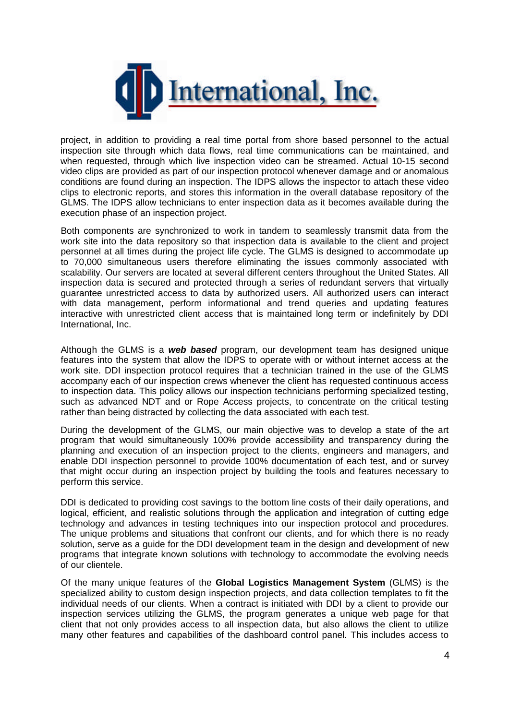

project, in addition to providing a real time portal from shore based personnel to the actual inspection site through which data flows, real time communications can be maintained, and when requested, through which live inspection video can be streamed. Actual 10-15 second video clips are provided as part of our inspection protocol whenever damage and or anomalous conditions are found during an inspection. The IDPS allows the inspector to attach these video clips to electronic reports, and stores this information in the overall database repository of the GLMS. The IDPS allow technicians to enter inspection data as it becomes available during the execution phase of an inspection project.

Both components are synchronized to work in tandem to seamlessly transmit data from the work site into the data repository so that inspection data is available to the client and project personnel at all times during the project life cycle. The GLMS is designed to accommodate up to 70,000 simultaneous users therefore eliminating the issues commonly associated with scalability. Our servers are located at several different centers throughout the United States. All inspection data is secured and protected through a series of redundant servers that virtually guarantee unrestricted access to data by authorized users. All authorized users can interact with data management, perform informational and trend queries and updating features interactive with unrestricted client access that is maintained long term or indefinitely by DDI International, Inc.

Although the GLMS is a *web based* program, our development team has designed unique features into the system that allow the IDPS to operate with or without internet access at the work site. DDI inspection protocol requires that a technician trained in the use of the GLMS accompany each of our inspection crews whenever the client has requested continuous access to inspection data. This policy allows our inspection technicians performing specialized testing, such as advanced NDT and or Rope Access projects, to concentrate on the critical testing rather than being distracted by collecting the data associated with each test.

During the development of the GLMS, our main objective was to develop a state of the art program that would simultaneously 100% provide accessibility and transparency during the planning and execution of an inspection project to the clients, engineers and managers, and enable DDI inspection personnel to provide 100% documentation of each test, and or survey that might occur during an inspection project by building the tools and features necessary to perform this service.

DDI is dedicated to providing cost savings to the bottom line costs of their daily operations, and logical, efficient, and realistic solutions through the application and integration of cutting edge technology and advances in testing techniques into our inspection protocol and procedures. The unique problems and situations that confront our clients, and for which there is no ready solution, serve as a guide for the DDI development team in the design and development of new programs that integrate known solutions with technology to accommodate the evolving needs of our clientele.

Of the many unique features of the **Global Logistics Management System** (GLMS) is the specialized ability to custom design inspection projects, and data collection templates to fit the individual needs of our clients. When a contract is initiated with DDI by a client to provide our inspection services utilizing the GLMS, the program generates a unique web page for that client that not only provides access to all inspection data, but also allows the client to utilize many other features and capabilities of the dashboard control panel. This includes access to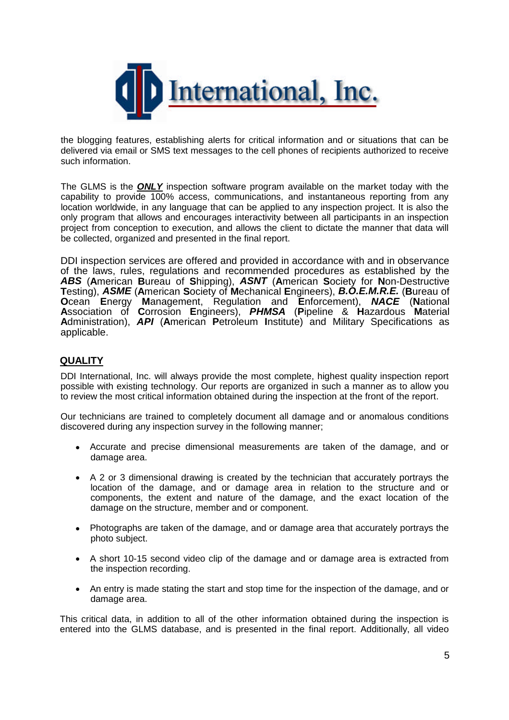

the blogging features, establishing alerts for critical information and or situations that can be delivered via email or SMS text messages to the cell phones of recipients authorized to receive such information.

The GLMS is the *ONLY* inspection software program available on the market today with the capability to provide 100% access, communications, and instantaneous reporting from any location worldwide, in any language that can be applied to any inspection project. It is also the only program that allows and encourages interactivity between all participants in an inspection project from conception to execution, and allows the client to dictate the manner that data will be collected, organized and presented in the final report.

DDI inspection services are offered and provided in accordance with and in observance of the laws, rules, regulations and recommended procedures as established by the *ABS* (**A**merican **B**ureau of **S**hipping), *ASNT* (**A**merican **S**ociety for **N**on-Destructive **T**esting), *ASME* (**A**merican **S**ociety of **M**echanical **E**ngineers), *B.O.E.M.R.E.* (**B**ureau of **O**cean **E**nergy **M**anagement, Regulation and **E**nforcement), *NACE* (**N**ational **A**ssociation of **C**orrosion **E**ngineers), *PHMSA* (**P**ipeline & **H**azardous **M**aterial **A**dministration), *API* (**A**merican **P**etroleum **I**nstitute) and Military Specifications as applicable.

# **QUALITY**

DDI International, Inc. will always provide the most complete, highest quality inspection report possible with existing technology. Our reports are organized in such a manner as to allow you to review the most critical information obtained during the inspection at the front of the report.

Our technicians are trained to completely document all damage and or anomalous conditions discovered during any inspection survey in the following manner;

- Accurate and precise dimensional measurements are taken of the damage, and or damage area.
- A 2 or 3 dimensional drawing is created by the technician that accurately portrays the location of the damage, and or damage area in relation to the structure and or components, the extent and nature of the damage, and the exact location of the damage on the structure, member and or component.
- Photographs are taken of the damage, and or damage area that accurately portrays the photo subject.
- A short 10-15 second video clip of the damage and or damage area is extracted from the inspection recording.
- An entry is made stating the start and stop time for the inspection of the damage, and or damage area.

This critical data, in addition to all of the other information obtained during the inspection is entered into the GLMS database, and is presented in the final report. Additionally, all video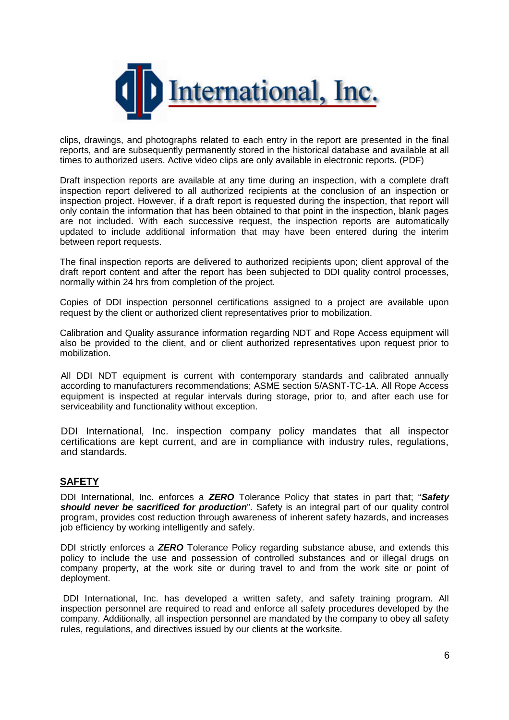

clips, drawings, and photographs related to each entry in the report are presented in the final reports, and are subsequently permanently stored in the historical database and available at all times to authorized users. Active video clips are only available in electronic reports. (PDF)

Draft inspection reports are available at any time during an inspection, with a complete draft inspection report delivered to all authorized recipients at the conclusion of an inspection or inspection project. However, if a draft report is requested during the inspection, that report will only contain the information that has been obtained to that point in the inspection, blank pages are not included. With each successive request, the inspection reports are automatically updated to include additional information that may have been entered during the interim between report requests.

The final inspection reports are delivered to authorized recipients upon; client approval of the draft report content and after the report has been subjected to DDI quality control processes, normally within 24 hrs from completion of the project.

Copies of DDI inspection personnel certifications assigned to a project are available upon request by the client or authorized client representatives prior to mobilization.

Calibration and Quality assurance information regarding NDT and Rope Access equipment will also be provided to the client, and or client authorized representatives upon request prior to mobilization.

All DDI NDT equipment is current with contemporary standards and calibrated annually according to manufacturers recommendations; ASME section 5/ASNT-TC-1A. All Rope Access equipment is inspected at regular intervals during storage, prior to, and after each use for serviceability and functionality without exception.

DDI International, Inc. inspection company policy mandates that all inspector certifications are kept current, and are in compliance with industry rules, regulations, and standards.

#### **SAFETY**

DDI International, Inc. enforces a *ZERO* Tolerance Policy that states in part that; "*Safety should never be sacrificed for production*". Safety is an integral part of our quality control program, provides cost reduction through awareness of inherent safety hazards, and increases job efficiency by working intelligently and safely.

DDI strictly enforces a *ZERO* Tolerance Policy regarding substance abuse, and extends this policy to include the use and possession of controlled substances and or illegal drugs on company property, at the work site or during travel to and from the work site or point of deployment.

DDI International, Inc. has developed a written safety, and safety training program. All inspection personnel are required to read and enforce all safety procedures developed by the company. Additionally, all inspection personnel are mandated by the company to obey all safety rules, regulations, and directives issued by our clients at the worksite.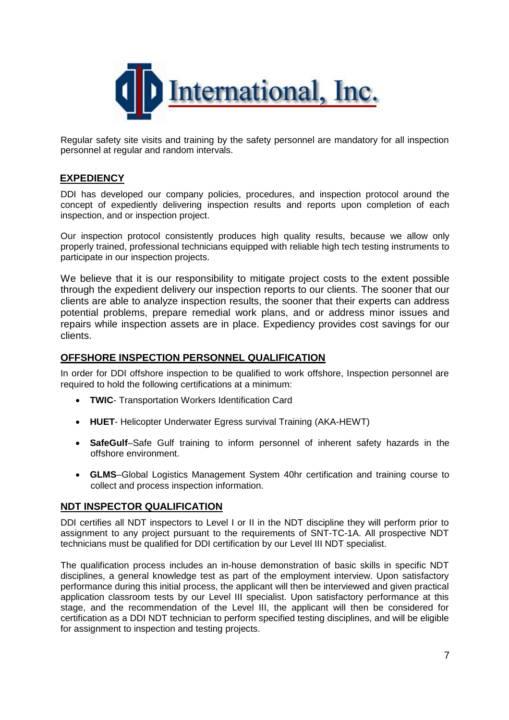

Regular safety site visits and training by the safety personnel are mandatory for all inspection personnel at regular and random intervals.

### **EXPEDIENCY**

DDI has developed our company policies, procedures, and inspection protocol around the concept of expediently delivering inspection results and reports upon completion of each inspection, and or inspection project.

Our inspection protocol consistently produces high quality results, because we allow only properly trained, professional technicians equipped with reliable high tech testing instruments to participate in our inspection projects.

We believe that it is our responsibility to mitigate project costs to the extent possible through the expedient delivery our inspection reports to our clients. The sooner that our clients are able to analyze inspection results, the sooner that their experts can address potential problems, prepare remedial work plans, and or address minor issues and repairs while inspection assets are in place. Expediency provides cost savings for our clients.

### **OFFSHORE INSPECTION PERSONNEL QUALIFICATION**

In order for DDI offshore inspection to be qualified to work offshore, Inspection personnel are required to hold the following certifications at a minimum:

- **TWIC** Transportation Workers Identification Card
- **HUET** Helicopter Underwater Egress survival Training (AKA-HEWT)
- **SafeGulf**–Safe Gulf training to inform personnel of inherent safety hazards in the offshore environment.
- **GLMS**–Global Logistics Management System 40hr certification and training course to collect and process inspection information.

#### **NDT INSPECTOR QUALIFICATION**

DDI certifies all NDT inspectors to Level I or II in the NDT discipline they will perform prior to assignment to any project pursuant to the requirements of SNT-TC-1A. All prospective NDT technicians must be qualified for DDI certification by our Level III NDT specialist.

The qualification process includes an in-house demonstration of basic skills in specific NDT disciplines, a general knowledge test as part of the employment interview. Upon satisfactory performance during this initial process, the applicant will then be interviewed and given practical application classroom tests by our Level III specialist. Upon satisfactory performance at this stage, and the recommendation of the Level III, the applicant will then be considered for certification as a DDI NDT technician to perform specified testing disciplines, and will be eligible for assignment to inspection and testing projects.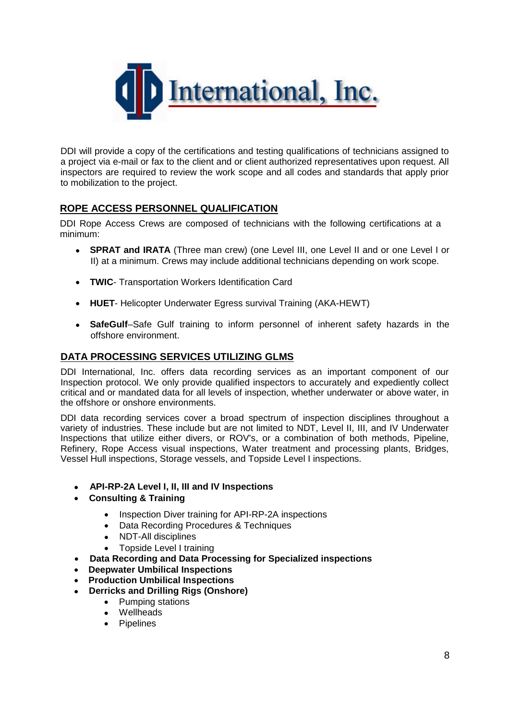

DDI will provide a copy of the certifications and testing qualifications of technicians assigned to a project via e-mail or fax to the client and or client authorized representatives upon request. All inspectors are required to review the work scope and all codes and standards that apply prior to mobilization to the project.

# **ROPE ACCESS PERSONNEL QUALIFICATION**

DDI Rope Access Crews are composed of technicians with the following certifications at a minimum:

- **SPRAT and IRATA** (Three man crew) (one Level III, one Level II and or one Level I or II) at a minimum. Crews may include additional technicians depending on work scope.
- **TWIC** Transportation Workers Identification Card
- **HUET** Helicopter Underwater Egress survival Training (AKA-HEWT)
- **SafeGulf**–Safe Gulf training to inform personnel of inherent safety hazards in the offshore environment.

### **DATA PROCESSING SERVICES UTILIZING GLMS**

DDI International, Inc. offers data recording services as an important component of our Inspection protocol. We only provide qualified inspectors to accurately and expediently collect critical and or mandated data for all levels of inspection, whether underwater or above water, in the offshore or onshore environments.

DDI data recording services cover a broad spectrum of inspection disciplines throughout a variety of industries. These include but are not limited to NDT, Level II, III, and IV Underwater Inspections that utilize either divers, or ROV's, or a combination of both methods, Pipeline, Refinery, Rope Access visual inspections, Water treatment and processing plants, Bridges, Vessel Hull inspections, Storage vessels, and Topside Level I inspections.

- **API-RP-2A Level I, II, III and IV Inspections**
- **Consulting & Training**
	- Inspection Diver training for API-RP-2A inspections
	- Data Recording Procedures & Techniques
	- NDT-All disciplines
	- Topside Level I training
- **Data Recording and Data Processing for Specialized inspections**
- **Deepwater Umbilical Inspections**
- **Production Umbilical Inspections**
- **Derricks and Drilling Rigs (Onshore)**
	- Pumping stations
	- Wellheads
	- Pipelines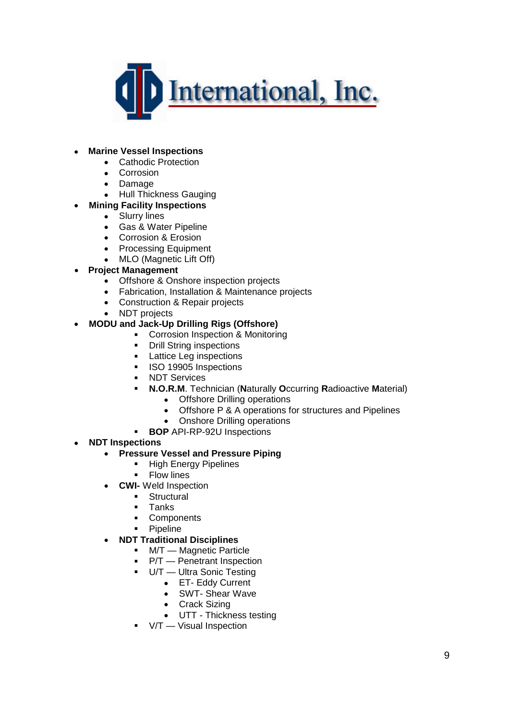

#### **Marine Vessel Inspections**

- Cathodic Protection
- Corrosion
- Damage
- Hull Thickness Gauging
- **Mining Facility Inspections**
	- Slurry lines
	- Gas & Water Pipeline
	- Corrosion & Erosion
	- Processing Equipment
	- MLO (Magnetic Lift Off)
- **Project Management**
	- Offshore & Onshore inspection projects
	- Fabrication, Installation & Maintenance projects
	- Construction & Repair projects
	- NDT projects

#### **MODU and Jack-Up Drilling Rigs (Offshore)**

- **Corrosion Inspection & Monitoring**
- **•** Drill String inspections
- **Lattice Leg inspections**
- **ISO 19905 Inspections**
- **NDT Services**
- **N.O.R.M**. Technician (**N**aturally **O**ccurring **R**adioactive **M**aterial)
	- Offshore Drilling operations
	- Offshore P & A operations for structures and Pipelines
	- Onshore Drilling operations
- **BOP** API-RP-92U Inspections

#### **NDT Inspections**

- **Pressure Vessel and Pressure Piping**
	- **High Energy Pipelines**
	- **Flow lines**
- **CWI-** Weld Inspection
	- **Structural**
	- **Tanks**
	- **Components**
	- **•** Pipeline

#### **NDT Traditional Disciplines**

- M/T Magnetic Particle
	- P/T Penetrant Inspection
	- U/T Ultra Sonic Testing
		- ET- Eddy Current
		- SWT- Shear Wave
		- Crack Sizing
		- UTT Thickness testing
	- V/T Visual Inspection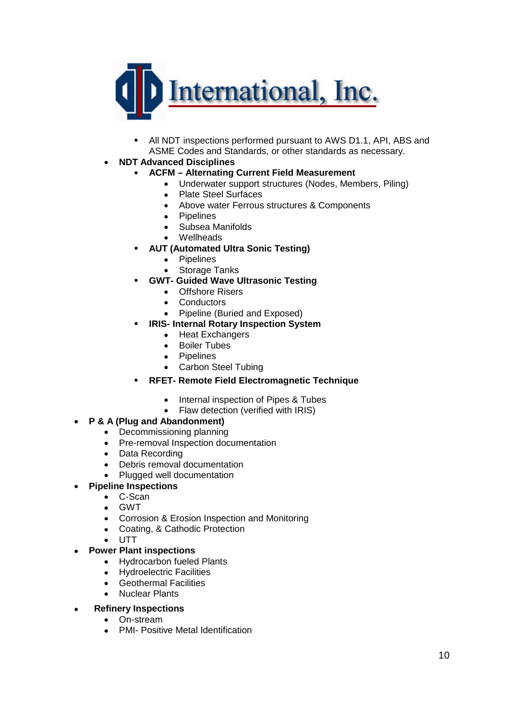

 All NDT inspections performed pursuant to AWS D1.1, API, ABS and ASME Codes and Standards, or other standards as necessary.

### **NDT Advanced Disciplines**

- **ACFM Alternating Current Field Measurement**
	- Underwater support structures (Nodes, Members, Piling)
		- Plate Steel Surfaces
		- Above water Ferrous structures & Components
		- Pipelines
		- Subsea Manifolds
		- Wellheads
- **AUT (Automated Ultra Sonic Testing)**
	- Pipelines
	- Storage Tanks
- **GWT- Guided Wave Ultrasonic Testing**
	- Offshore Risers
	- Conductors
	- Pipeline (Buried and Exposed)
- **IRIS- Internal Rotary Inspection System**
	- Heat Exchangers
	- Boiler Tubes
	- Pipelines
	- Carbon Steel Tubing

# **RFET- Remote Field Electromagnetic Technique**

- Internal inspection of Pipes & Tubes
- Flaw detection (verified with IRIS)

#### **P & A (Plug and Abandonment)**

- Decommissioning planning
- Pre-removal Inspection documentation
- Data Recording
- Debris removal documentation
- Plugged well documentation
- **Pipeline Inspections**
	- C-Scan
	- GWT
	- Corrosion & Erosion Inspection and Monitoring
	- Coating, & Cathodic Protection
	- UTT

### **Power Plant inspections**

- Hydrocarbon fueled Plants
- Hydroelectric Facilities
- Geothermal Facilities
- Nuclear Plants
- **Refinery Inspections**
	- On-stream
	- PMI- Positive Metal Identification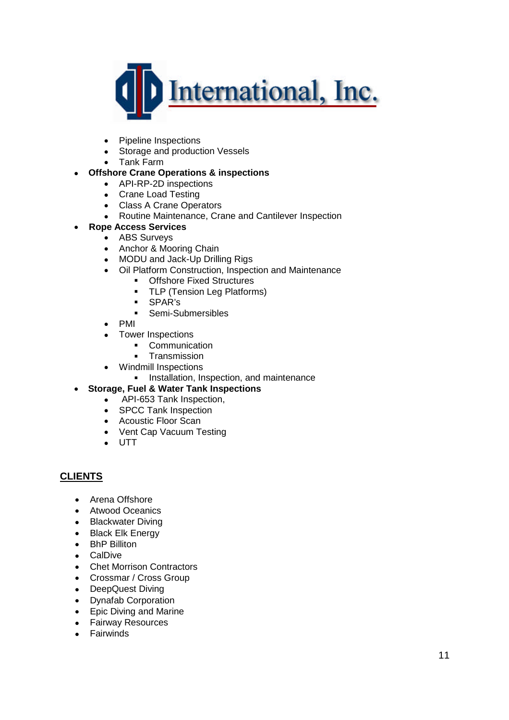

- Pipeline Inspections
- Storage and production Vessels
- Tank Farm

# **Offshore Crane Operations & inspections**

- API-RP-2D inspections
- Crane Load Testing
- Class A Crane Operators
- Routine Maintenance, Crane and Cantilever Inspection
- **Rope Access Services**
	- ABS Surveys
	- Anchor & Mooring Chain
	- MODU and Jack-Up Drilling Rigs
	- Oil Platform Construction, Inspection and Maintenance
		- **Offshore Fixed Structures**
		- **TLP (Tension Leg Platforms)**
		- SPAR's
		- **Semi-Submersibles**
	- PMI
	- Tower Inspections
		- **•** Communication
		- **Transmission**
	- Windmill Inspections
		- **Installation, Inspection, and maintenance**

#### **Storage, Fuel & Water Tank Inspections**

- API-653 Tank Inspection,
- SPCC Tank Inspection
- Acoustic Floor Scan
- Vent Cap Vacuum Testing
- UTT

# **CLIENTS**

- Arena Offshore
- Atwood Oceanics
- Blackwater Diving
- Black Elk Energy
- BhP Billiton
- CalDive
- Chet Morrison Contractors
- Crossmar / Cross Group
- DeepQuest Diving
- Dynafab Corporation
- Epic Diving and Marine
- **•** Fairway Resources
- **•** Fairwinds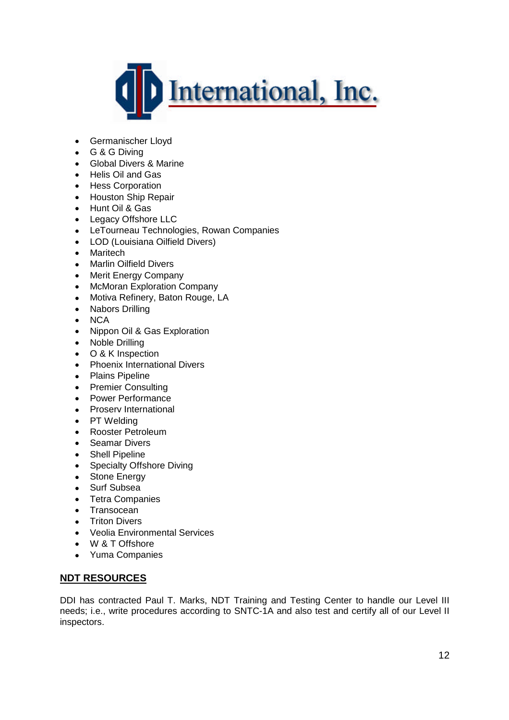

- Germanischer Lloyd
- G & G Diving
- Global Divers & Marine
- Helis Oil and Gas
- Hess Corporation
- Houston Ship Repair
- Hunt Oil & Gas
- Legacy Offshore LLC
- LeTourneau Technologies, Rowan Companies
- LOD (Louisiana Oilfield Divers)
- Maritech
- Marlin Oilfield Divers
- Merit Energy Company
- McMoran Exploration Company
- Motiva Refinery, Baton Rouge, LA
- Nabors Drilling
- NCA
- Nippon Oil & Gas Exploration
- Noble Drilling
- **O & K Inspection**
- Phoenix International Divers
- Plains Pipeline
- Premier Consulting
- Power Performance
- Proserv International
- PT Welding
- Rooster Petroleum
- Seamar Divers
- Shell Pipeline
- Specialty Offshore Diving
- Stone Energy
- Surf Subsea
- Tetra Companies
- Transocean
- **•** Triton Divers
- Veolia Environmental Services
- W & T Offshore
- Yuma Companies

# **NDT RESOURCES**

DDI has contracted Paul T. Marks, NDT Training and Testing Center to handle our Level III needs; i.e., write procedures according to SNTC-1A and also test and certify all of our Level II inspectors.